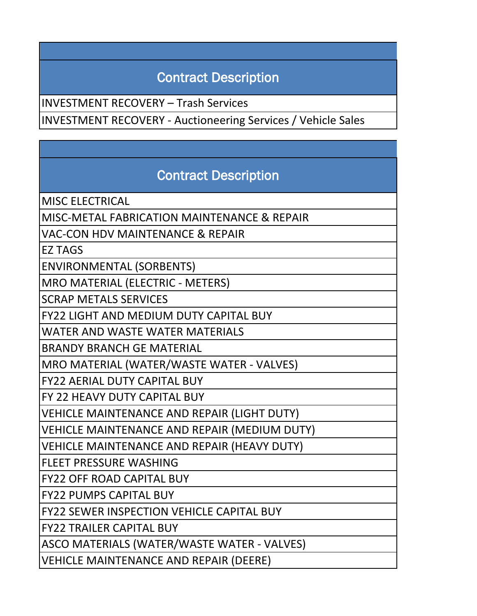## Contract Description

INVESTMENT RECOVERY – Trash Services

INVESTMENT RECOVERY - Auctioneering Services / Vehicle Sales

## Contract Description

MISC ELECTRICAL

MISC-METAL FABRICATION MAINTENANCE & REPAIR

VAC-CON HDV MAINTENANCE & REPAIR

EZ TAGS

ENVIRONMENTAL (SORBENTS)

MRO MATERIAL (ELECTRIC - METERS)

SCRAP METALS SERVICES

FY22 LIGHT AND MEDIUM DUTY CAPITAL BUY

WATER AND WASTE WATER MATERIALS

BRANDY BRANCH GE MATERIAL

MRO MATERIAL (WATER/WASTE WATER - VALVES)

FY22 AERIAL DUTY CAPITAL BUY

FY 22 HEAVY DUTY CAPITAL BUY

VEHICLE MAINTENANCE AND REPAIR (LIGHT DUTY)

VEHICLE MAINTENANCE AND REPAIR (MEDIUM DUTY)

VEHICLE MAINTENANCE AND REPAIR (HEAVY DUTY)

FLEET PRESSURE WASHING

FY22 OFF ROAD CAPITAL BUY

FY22 PUMPS CAPITAL BUY

FY22 SEWER INSPECTION VEHICLE CAPITAL BUY

FY22 TRAILER CAPITAL BUY

ASCO MATERIALS (WATER/WASTE WATER - VALVES)

VEHICLE MAINTENANCE AND REPAIR (DEERE)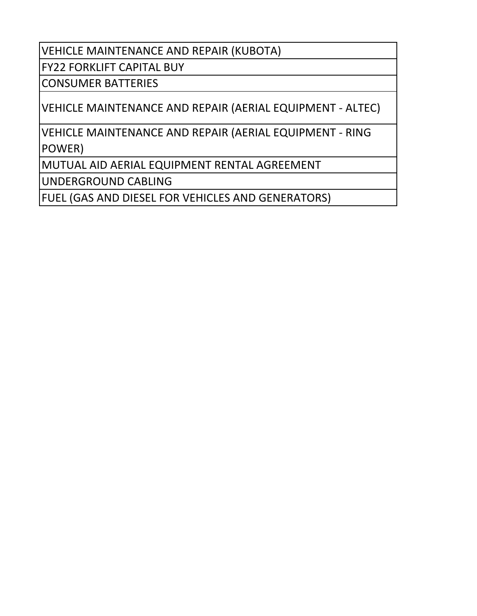VEHICLE MAINTENANCE AND REPAIR (KUBOTA)

FY22 FORKLIFT CAPITAL BUY

CONSUMER BATTERIES

VEHICLE MAINTENANCE AND REPAIR (AERIAL EQUIPMENT - ALTEC)

VEHICLE MAINTENANCE AND REPAIR (AERIAL EQUIPMENT - RING POWER)

MUTUAL AID AERIAL EQUIPMENT RENTAL AGREEMENT

UNDERGROUND CABLING

FUEL (GAS AND DIESEL FOR VEHICLES AND GENERATORS)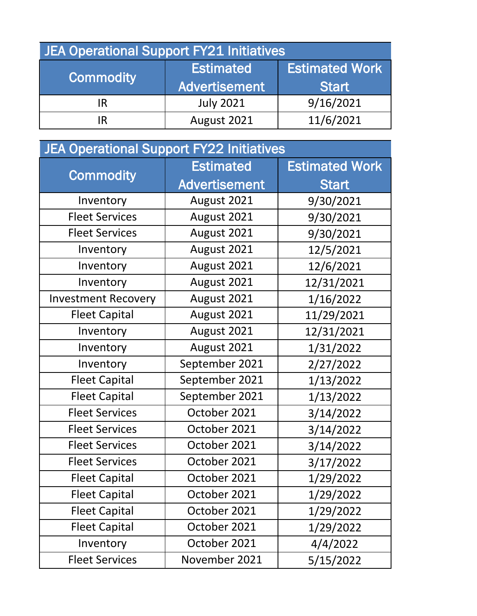| <b>JEA Operational Support FY21 Initiatives</b> |                      |                       |  |
|-------------------------------------------------|----------------------|-----------------------|--|
| <b>Commodity</b>                                | <b>Estimated</b>     | <b>Estimated Work</b> |  |
|                                                 | <b>Advertisement</b> | <b>Start</b>          |  |
| IR                                              | <b>July 2021</b>     | 9/16/2021             |  |
|                                                 | August 2021          | 11/6/2021             |  |

| <b>JEA Operational Support FY22 Initiatives</b> |                      |                       |
|-------------------------------------------------|----------------------|-----------------------|
| <b>Commodity</b>                                | <b>Estimated</b>     | <b>Estimated Work</b> |
|                                                 | <b>Advertisement</b> | <b>Start</b>          |
| Inventory                                       | August 2021          | 9/30/2021             |
| <b>Fleet Services</b>                           | August 2021          | 9/30/2021             |
| <b>Fleet Services</b>                           | August 2021          | 9/30/2021             |
| Inventory                                       | August 2021          | 12/5/2021             |
| Inventory                                       | August 2021          | 12/6/2021             |
| Inventory                                       | August 2021          | 12/31/2021            |
| <b>Investment Recovery</b>                      | August 2021          | 1/16/2022             |
| <b>Fleet Capital</b>                            | August 2021          | 11/29/2021            |
| Inventory                                       | August 2021          | 12/31/2021            |
| Inventory                                       | August 2021          | 1/31/2022             |
| Inventory                                       | September 2021       | 2/27/2022             |
| <b>Fleet Capital</b>                            | September 2021       | 1/13/2022             |
| <b>Fleet Capital</b>                            | September 2021       | 1/13/2022             |
| <b>Fleet Services</b>                           | October 2021         | 3/14/2022             |
| <b>Fleet Services</b>                           | October 2021         | 3/14/2022             |
| <b>Fleet Services</b>                           | October 2021         | 3/14/2022             |
| <b>Fleet Services</b>                           | October 2021         | 3/17/2022             |
| <b>Fleet Capital</b>                            | October 2021         | 1/29/2022             |
| <b>Fleet Capital</b>                            | October 2021         | 1/29/2022             |
| <b>Fleet Capital</b>                            | October 2021         | 1/29/2022             |
| <b>Fleet Capital</b>                            | October 2021         | 1/29/2022             |
| Inventory                                       | October 2021         | 4/4/2022              |
| <b>Fleet Services</b>                           | November 2021        | 5/15/2022             |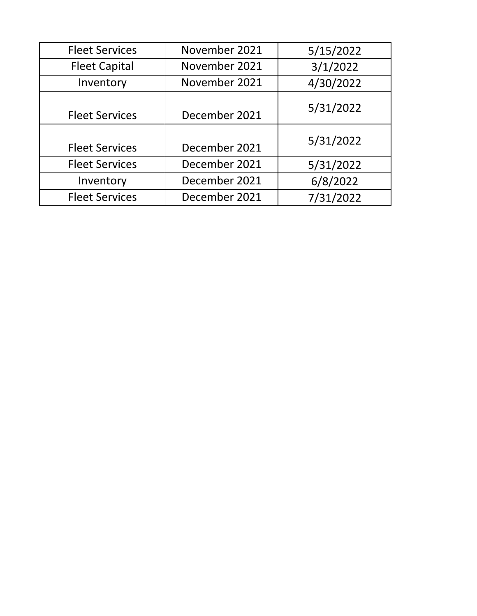| <b>Fleet Services</b> | November 2021 | 5/15/2022 |
|-----------------------|---------------|-----------|
| <b>Fleet Capital</b>  | November 2021 | 3/1/2022  |
| Inventory             | November 2021 | 4/30/2022 |
| <b>Fleet Services</b> | December 2021 | 5/31/2022 |
| <b>Fleet Services</b> | December 2021 | 5/31/2022 |
| <b>Fleet Services</b> | December 2021 | 5/31/2022 |
| Inventory             | December 2021 | 6/8/2022  |
| <b>Fleet Services</b> | December 2021 | 7/31/2022 |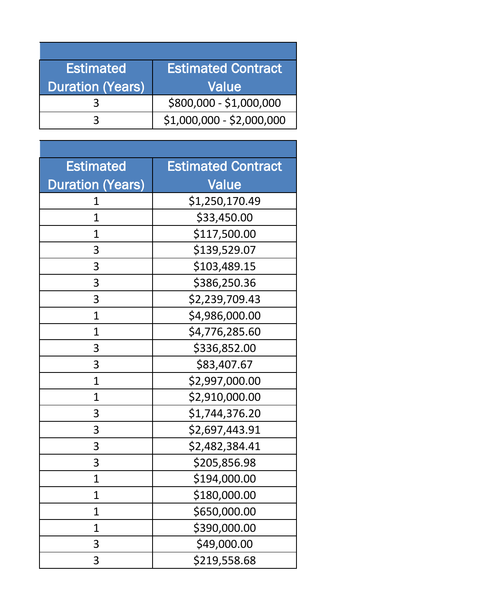| <b>Estimated</b>        | <b>Estimated Contract</b> |
|-------------------------|---------------------------|
| <b>Duration (Years)</b> | Value                     |
|                         | \$800,000 - \$1,000,000   |
|                         | $$1,000,000 - $2,000,000$ |

| <b>Estimated</b>        | <b>Estimated Contract</b> |
|-------------------------|---------------------------|
| <b>Duration (Years)</b> | <b>Value</b>              |
| 1                       | \$1,250,170.49            |
| 1                       | \$33,450.00               |
| 1                       | \$117,500.00              |
| 3                       | \$139,529.07              |
| 3                       | \$103,489.15              |
| 3                       | \$386,250.36              |
| 3                       | \$2,239,709.43            |
| $\mathbf 1$             | \$4,986,000.00            |
| $\overline{1}$          | \$4,776,285.60            |
| 3                       | \$336,852.00              |
| 3                       | \$83,407.67               |
| $\mathbf 1$             | \$2,997,000.00            |
| $\overline{1}$          | \$2,910,000.00            |
| 3                       | \$1,744,376.20            |
| 3                       | \$2,697,443.91            |
| 3                       | \$2,482,384.41            |
| 3                       | \$205,856.98              |
| 1                       | \$194,000.00              |
| 1                       | \$180,000.00              |
| 1                       | \$650,000.00              |
| 1                       | \$390,000.00              |
| 3                       | \$49,000.00               |
| 3                       | \$219,558.68              |